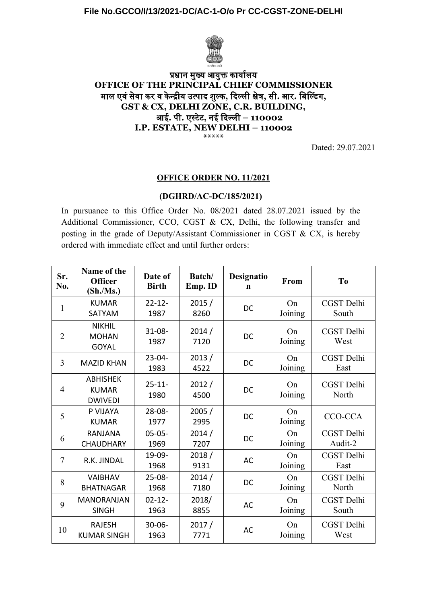

# प्रधान मुख्य आयुक्त कार्यालय **OFFICE OF THE PRINCIPAL CHIEF COMMISSIONER** मुल एवंसेवं कार वं कान्द्रीय उत्पाद शुल्का**,** दिल्ली क्षेत्र**,** से**.** आर**.** बि!ल्डिंग**, GST & CX, DELHI ZONE, C.R. BUILDING,** आई**.** पा**.** एस्टेटे**,** नई दिल्ली **– 110002 I.P. ESTATE, NEW DELHI – 110002 \*\*\*\*\***

Dated: 29.07.2021

### **OFFICE ORDER NO. 11/2021**

## **(DGHRD/AC-DC/185/2021)**

In pursuance to this Office Order No. 08/2021 dated 28.07.2021 issued by the Additional Commissioner, CCO, CGST & CX, Delhi, the following transfer and posting in the grade of Deputy/Assistant Commissioner in CGST & CX, is hereby ordered with immediate effect and until further orders:

| Sr.<br>No.     | Name of the<br><b>Officer</b><br>$(\text{Sh./Ms.})$ | Date of<br><b>Birth</b> | Batch/<br>Emp. ID | Designatio<br>$\mathbf n$ | From          | T <sub>0</sub>             |
|----------------|-----------------------------------------------------|-------------------------|-------------------|---------------------------|---------------|----------------------------|
| $\mathbf{1}$   | <b>KUMAR</b><br>SATYAM                              | $22 - 12$<br>1987       | 2015/<br>8260     | <b>DC</b>                 | On<br>Joining | <b>CGST</b> Delhi<br>South |
| $\overline{2}$ | <b>NIKHIL</b><br><b>MOHAN</b><br><b>GOYAL</b>       | $31 - 08 -$<br>1987     | 2014/<br>7120     | DC                        | On<br>Joining | CGST Delhi<br>West         |
| $\overline{3}$ | <b>MAZID KHAN</b>                                   | $23 - 04 -$<br>1983     | 2013/<br>4522     | DC                        | On<br>Joining | CGST Delhi<br>East         |
| $\overline{4}$ | <b>ABHISHEK</b><br><b>KUMAR</b><br><b>DWIVEDI</b>   | $25 - 11 -$<br>1980     | 2012/<br>4500     | DC                        | On<br>Joining | CGST Delhi<br>North        |
| 5              | P VIJAYA<br><b>KUMAR</b>                            | $28 - 08 -$<br>1977     | 2005/<br>2995     | DC                        | On<br>Joining | CCO-CCA                    |
| 6              | <b>RANJANA</b><br><b>CHAUDHARY</b>                  | $05 - 05 -$<br>1969     | 2014/<br>7207     | DC                        | On<br>Joining | CGST Delhi<br>Audit-2      |
| $\overline{7}$ | R.K. JINDAL                                         | 19-09-<br>1968          | 2018/<br>9131     | <b>AC</b>                 | On<br>Joining | CGST Delhi<br>East         |
| 8              | <b>VAIBHAV</b><br><b>BHATNAGAR</b>                  | $25 - 08 -$<br>1968     | 2014/<br>7180     | DC                        | On<br>Joining | CGST Delhi<br>North        |
| 9              | <b>MANORANJAN</b><br><b>SINGH</b>                   | $02 - 12 -$<br>1963     | 2018/<br>8855     | <b>AC</b>                 | On<br>Joining | CGST Delhi<br>South        |
| 10             | <b>RAJESH</b><br><b>KUMAR SINGH</b>                 | $30 - 06 -$<br>1963     | 2017/<br>7771     | <b>AC</b>                 | On<br>Joining | CGST Delhi<br>West         |